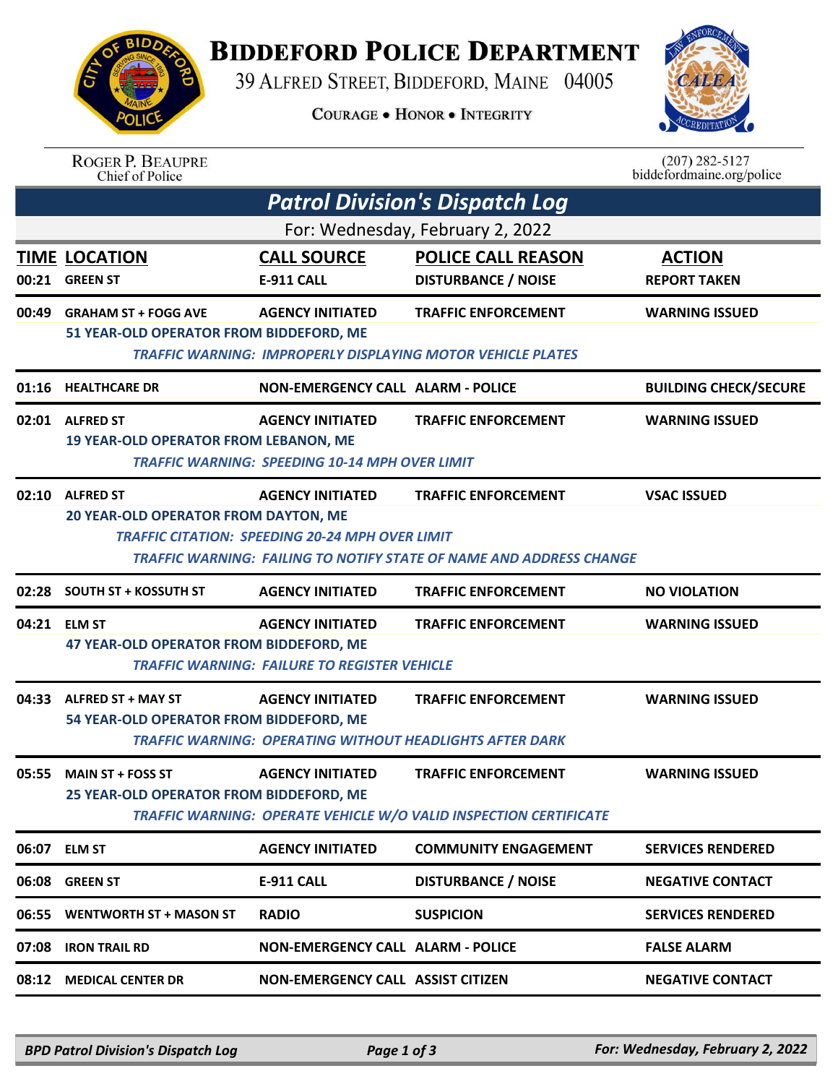

## **BIDDEFORD POLICE DEPARTMENT**

39 ALFRED STREET, BIDDEFORD, MAINE 04005

**COURAGE . HONOR . INTEGRITY** 



| <b>ROGER P. BEAUPRE</b> |
|-------------------------|
| Chief of Police         |

 $(207)$  282-5127<br>biddefordmaine.org/police

| <b>TIME LOCATION</b><br><b>GREEN ST</b> | <b>CALL SOURCE</b>      | For: Wednesday, February 2, 2022<br><b>POLICE CALL REASON</b>                                                                                                                                                                                                                  |                                                                                                                                                                                                                                                                                                                                                                                                                                                                                                                                                                                                 |
|-----------------------------------------|-------------------------|--------------------------------------------------------------------------------------------------------------------------------------------------------------------------------------------------------------------------------------------------------------------------------|-------------------------------------------------------------------------------------------------------------------------------------------------------------------------------------------------------------------------------------------------------------------------------------------------------------------------------------------------------------------------------------------------------------------------------------------------------------------------------------------------------------------------------------------------------------------------------------------------|
|                                         |                         |                                                                                                                                                                                                                                                                                |                                                                                                                                                                                                                                                                                                                                                                                                                                                                                                                                                                                                 |
|                                         | E-911 CALL              | <b>DISTURBANCE / NOISE</b>                                                                                                                                                                                                                                                     | <b>ACTION</b><br><b>REPORT TAKEN</b>                                                                                                                                                                                                                                                                                                                                                                                                                                                                                                                                                            |
| <b>GRAHAM ST + FOGG AVE</b>             | <b>AGENCY INITIATED</b> | <b>TRAFFIC ENFORCEMENT</b>                                                                                                                                                                                                                                                     | <b>WARNING ISSUED</b>                                                                                                                                                                                                                                                                                                                                                                                                                                                                                                                                                                           |
| 01:16 HEALTHCARE DR                     |                         |                                                                                                                                                                                                                                                                                | <b>BUILDING CHECK/SECURE</b>                                                                                                                                                                                                                                                                                                                                                                                                                                                                                                                                                                    |
| 02:01 ALFRED ST                         | <b>AGENCY INITIATED</b> | <b>TRAFFIC ENFORCEMENT</b>                                                                                                                                                                                                                                                     | <b>WARNING ISSUED</b>                                                                                                                                                                                                                                                                                                                                                                                                                                                                                                                                                                           |
| <b>ALFRED ST</b>                        | <b>AGENCY INITIATED</b> | <b>TRAFFIC ENFORCEMENT</b>                                                                                                                                                                                                                                                     | <b>VSAC ISSUED</b>                                                                                                                                                                                                                                                                                                                                                                                                                                                                                                                                                                              |
| <b>SOUTH ST + KOSSUTH ST</b>            | <b>AGENCY INITIATED</b> | <b>TRAFFIC ENFORCEMENT</b>                                                                                                                                                                                                                                                     | <b>NO VIOLATION</b>                                                                                                                                                                                                                                                                                                                                                                                                                                                                                                                                                                             |
| <b>ELM ST</b>                           | <b>AGENCY INITIATED</b> | <b>TRAFFIC ENFORCEMENT</b>                                                                                                                                                                                                                                                     | <b>WARNING ISSUED</b>                                                                                                                                                                                                                                                                                                                                                                                                                                                                                                                                                                           |
| 04:33 ALFRED ST + MAY ST                | <b>AGENCY INITIATED</b> | <b>TRAFFIC ENFORCEMENT</b>                                                                                                                                                                                                                                                     | <b>WARNING ISSUED</b>                                                                                                                                                                                                                                                                                                                                                                                                                                                                                                                                                                           |
| <b>MAIN ST + FOSS ST</b>                | <b>AGENCY INITIATED</b> | <b>TRAFFIC ENFORCEMENT</b>                                                                                                                                                                                                                                                     | <b>WARNING ISSUED</b>                                                                                                                                                                                                                                                                                                                                                                                                                                                                                                                                                                           |
| <b>ELM ST</b>                           | <b>AGENCY INITIATED</b> | <b>COMMUNITY ENGAGEMENT</b>                                                                                                                                                                                                                                                    | <b>SERVICES RENDERED</b>                                                                                                                                                                                                                                                                                                                                                                                                                                                                                                                                                                        |
| <b>GREEN ST</b>                         | E-911 CALL              | <b>DISTURBANCE / NOISE</b>                                                                                                                                                                                                                                                     | <b>NEGATIVE CONTACT</b>                                                                                                                                                                                                                                                                                                                                                                                                                                                                                                                                                                         |
| <b>WENTWORTH ST + MASON ST</b>          | <b>RADIO</b>            | <b>SUSPICION</b>                                                                                                                                                                                                                                                               | <b>SERVICES RENDERED</b>                                                                                                                                                                                                                                                                                                                                                                                                                                                                                                                                                                        |
| <b>IRON TRAIL RD</b>                    |                         |                                                                                                                                                                                                                                                                                | <b>FALSE ALARM</b>                                                                                                                                                                                                                                                                                                                                                                                                                                                                                                                                                                              |
| <b>MEDICAL CENTER DR</b>                |                         |                                                                                                                                                                                                                                                                                | <b>NEGATIVE CONTACT</b>                                                                                                                                                                                                                                                                                                                                                                                                                                                                                                                                                                         |
|                                         |                         | 51 YEAR-OLD OPERATOR FROM BIDDEFORD, ME<br><b>19 YEAR-OLD OPERATOR FROM LEBANON, ME</b><br><b>20 YEAR-OLD OPERATOR FROM DAYTON, ME</b><br><b>47 YEAR-OLD OPERATOR FROM BIDDEFORD, ME</b><br>54 YEAR-OLD OPERATOR FROM BIDDEFORD, ME<br>25 YEAR-OLD OPERATOR FROM BIDDEFORD, ME | <b>TRAFFIC WARNING: IMPROPERLY DISPLAYING MOTOR VEHICLE PLATES</b><br><b>NON-EMERGENCY CALL ALARM - POLICE</b><br><b>TRAFFIC WARNING: SPEEDING 10-14 MPH OVER LIMIT</b><br><b>TRAFFIC CITATION: SPEEDING 20-24 MPH OVER LIMIT</b><br>TRAFFIC WARNING: FAILING TO NOTIFY STATE OF NAME AND ADDRESS CHANGE<br><b>TRAFFIC WARNING: FAILURE TO REGISTER VEHICLE</b><br><b>TRAFFIC WARNING: OPERATING WITHOUT HEADLIGHTS AFTER DARK</b><br>TRAFFIC WARNING: OPERATE VEHICLE W/O VALID INSPECTION CERTIFICATE<br><b>NON-EMERGENCY CALL ALARM - POLICE</b><br><b>NON-EMERGENCY CALL ASSIST CITIZEN</b> |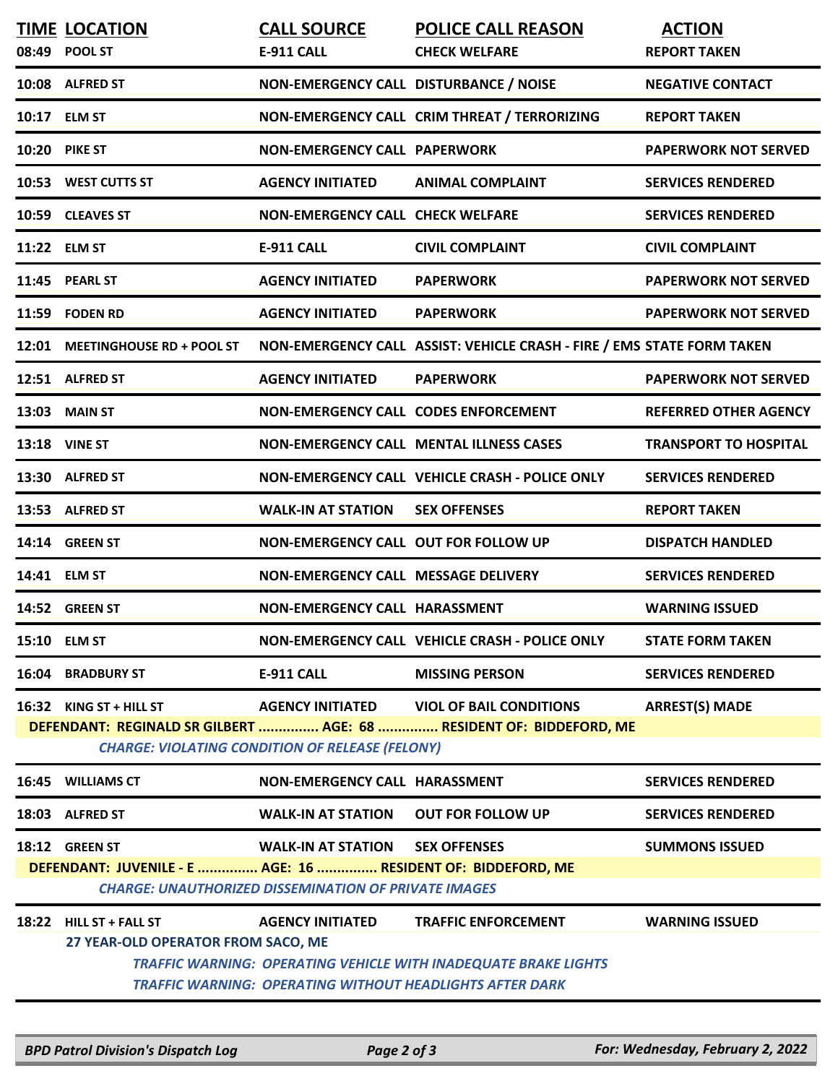|       | <b>TIME LOCATION</b><br>08:49 POOL ST                                                                                         | <b>CALL SOURCE</b><br><b>E-911 CALL</b>                     | <b>POLICE CALL REASON</b><br><b>CHECK WELFARE</b>                                                                                         | <b>ACTION</b><br><b>REPORT TAKEN</b> |  |  |  |  |
|-------|-------------------------------------------------------------------------------------------------------------------------------|-------------------------------------------------------------|-------------------------------------------------------------------------------------------------------------------------------------------|--------------------------------------|--|--|--|--|
|       | 10:08 ALFRED ST                                                                                                               | NON-EMERGENCY CALL DISTURBANCE / NOISE                      |                                                                                                                                           | <b>NEGATIVE CONTACT</b>              |  |  |  |  |
|       | 10:17 ELM ST                                                                                                                  |                                                             | NON-EMERGENCY CALL CRIM THREAT / TERRORIZING                                                                                              | <b>REPORT TAKEN</b>                  |  |  |  |  |
| 10:20 | <b>PIKE ST</b>                                                                                                                | <b>NON-EMERGENCY CALL PAPERWORK</b>                         |                                                                                                                                           | <b>PAPERWORK NOT SERVED</b>          |  |  |  |  |
|       | 10:53 WEST CUTTS ST                                                                                                           | <b>AGENCY INITIATED</b>                                     | <b>ANIMAL COMPLAINT</b>                                                                                                                   | <b>SERVICES RENDERED</b>             |  |  |  |  |
|       | 10:59 CLEAVES ST                                                                                                              | <b>NON-EMERGENCY CALL CHECK WELFARE</b>                     |                                                                                                                                           | <b>SERVICES RENDERED</b>             |  |  |  |  |
|       | 11:22 ELM ST                                                                                                                  | E-911 CALL                                                  | <b>CIVIL COMPLAINT</b>                                                                                                                    | <b>CIVIL COMPLAINT</b>               |  |  |  |  |
|       | 11:45 PEARL ST                                                                                                                | <b>AGENCY INITIATED</b>                                     | <b>PAPERWORK</b>                                                                                                                          | <b>PAPERWORK NOT SERVED</b>          |  |  |  |  |
| 11:59 | <b>FODEN RD</b>                                                                                                               | <b>AGENCY INITIATED</b>                                     | <b>PAPERWORK</b>                                                                                                                          | <b>PAPERWORK NOT SERVED</b>          |  |  |  |  |
|       | 12:01 MEETINGHOUSE RD + POOL ST                                                                                               |                                                             | NON-EMERGENCY CALL ASSIST: VEHICLE CRASH - FIRE / EMS STATE FORM TAKEN                                                                    |                                      |  |  |  |  |
|       | 12:51 ALFRED ST                                                                                                               | <b>AGENCY INITIATED</b>                                     | <b>PAPERWORK</b>                                                                                                                          | <b>PAPERWORK NOT SERVED</b>          |  |  |  |  |
| 13:03 | <b>MAIN ST</b>                                                                                                                | NON-EMERGENCY CALL CODES ENFORCEMENT                        |                                                                                                                                           | <b>REFERRED OTHER AGENCY</b>         |  |  |  |  |
|       | <b>13:18 VINE ST</b>                                                                                                          |                                                             | <b>NON-EMERGENCY CALL MENTAL ILLNESS CASES</b>                                                                                            | <b>TRANSPORT TO HOSPITAL</b>         |  |  |  |  |
|       | 13:30 ALFRED ST                                                                                                               |                                                             | NON-EMERGENCY CALL VEHICLE CRASH - POLICE ONLY                                                                                            | <b>SERVICES RENDERED</b>             |  |  |  |  |
|       | 13:53 ALFRED ST                                                                                                               | <b>WALK-IN AT STATION</b>                                   | <b>SEX OFFENSES</b>                                                                                                                       | <b>REPORT TAKEN</b>                  |  |  |  |  |
|       | 14:14 GREEN ST                                                                                                                | NON-EMERGENCY CALL OUT FOR FOLLOW UP                        |                                                                                                                                           | <b>DISPATCH HANDLED</b>              |  |  |  |  |
|       | 14:41 ELM ST                                                                                                                  | NON-EMERGENCY CALL MESSAGE DELIVERY                         |                                                                                                                                           | <b>SERVICES RENDERED</b>             |  |  |  |  |
|       | 14:52 GREEN ST                                                                                                                | NON-EMERGENCY CALL HARASSMENT                               |                                                                                                                                           | <b>WARNING ISSUED</b>                |  |  |  |  |
|       | 15:10 ELM ST                                                                                                                  |                                                             | NON-EMERGENCY CALL VEHICLE CRASH - POLICE ONLY                                                                                            | <b>STATE FORM TAKEN</b>              |  |  |  |  |
|       | <b>16:04 BRADBURY ST</b>                                                                                                      | <b>E-911 CALL</b>                                           | <b>MISSING PERSON</b>                                                                                                                     | <b>SERVICES RENDERED</b>             |  |  |  |  |
|       | 16:32 KING ST + HILL ST                                                                                                       | <b>AGENCY INITIATED</b>                                     | <b>VIOL OF BAIL CONDITIONS</b>                                                                                                            | <b>ARREST(S) MADE</b>                |  |  |  |  |
|       | DEFENDANT: REGINALD SR GILBERT  AGE: 68  RESIDENT OF: BIDDEFORD, ME<br><b>CHARGE: VIOLATING CONDITION OF RELEASE (FELONY)</b> |                                                             |                                                                                                                                           |                                      |  |  |  |  |
|       | 16:45 WILLIAMS CT                                                                                                             | NON-EMERGENCY CALL HARASSMENT                               |                                                                                                                                           | <b>SERVICES RENDERED</b>             |  |  |  |  |
|       | 18:03 ALFRED ST                                                                                                               | <b>WALK-IN AT STATION</b>                                   | <b>OUT FOR FOLLOW UP</b>                                                                                                                  | <b>SERVICES RENDERED</b>             |  |  |  |  |
|       | 18:12 GREEN ST                                                                                                                | <b>WALK-IN AT STATION</b>                                   | <b>SEX OFFENSES</b>                                                                                                                       | <b>SUMMONS ISSUED</b>                |  |  |  |  |
|       | DEFENDANT: JUVENILE - E  AGE: 16  RESIDENT OF: BIDDEFORD, ME                                                                  | <b>CHARGE: UNAUTHORIZED DISSEMINATION OF PRIVATE IMAGES</b> |                                                                                                                                           |                                      |  |  |  |  |
|       | 18:22 HILL ST + FALL ST                                                                                                       | <b>AGENCY INITIATED</b>                                     | <b>TRAFFIC ENFORCEMENT</b>                                                                                                                | <b>WARNING ISSUED</b>                |  |  |  |  |
|       | 27 YEAR-OLD OPERATOR FROM SACO, ME                                                                                            |                                                             | <b>TRAFFIC WARNING: OPERATING VEHICLE WITH INADEQUATE BRAKE LIGHTS</b><br><b>TRAFFIC WARNING: OPERATING WITHOUT HEADLIGHTS AFTER DARK</b> |                                      |  |  |  |  |